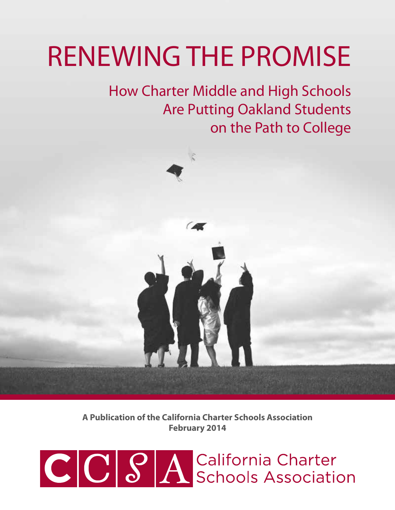# RENEWING THE PROMISE

How Charter Middle and High Schools Are Putting Oakland Students on the Path to College



**A Publication of the California Charter Schools Association February 2014**

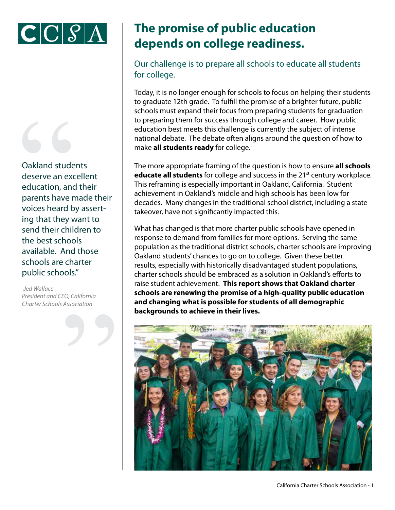



Oakland stude<br>deserve an exceducation, and<br>parents have r<br>voices heard b<br>ing that they v<br>send their child Oakland students deserve an excellent education, and their parents have made their voices heard by asserting that they want to send their children to the best schools available. And those schools are charter public schools."

Association *-Jed Wallace President and CEO, California Charter Schools Association*

# **The promise of public education depends on college readiness.**

Our challenge is to prepare all schools to educate all students for college.

Today, it is no longer enough for schools to focus on helping their students to graduate 12th grade. To fulfill the promise of a brighter future, public schools must expand their focus from preparing students for graduation to preparing them for success through college and career. How public education best meets this challenge is currently the subject of intense national debate. The debate often aligns around the question of how to make **all students ready** for college.

The more appropriate framing of the question is how to ensure **all schools educate all students** for college and success in the 21<sup>st</sup> century workplace. This reframing is especially important in Oakland, California. Student achievement in Oakland's middle and high schools has been low for decades. Many changes in the traditional school district, including a state takeover, have not significantly impacted this.

What has changed is that more charter public schools have opened in response to demand from families for more options. Serving the same population as the traditional district schools, charter schools are improving Oakland students' chances to go on to college. Given these better results, especially with historically disadvantaged student populations, charter schools should be embraced as a solution in Oakland's efforts to raise student achievement. **This report shows that Oakland charter schools are renewing the promise of a high-quality public education and changing what is possible for students of all demographic backgrounds to achieve in their lives.**

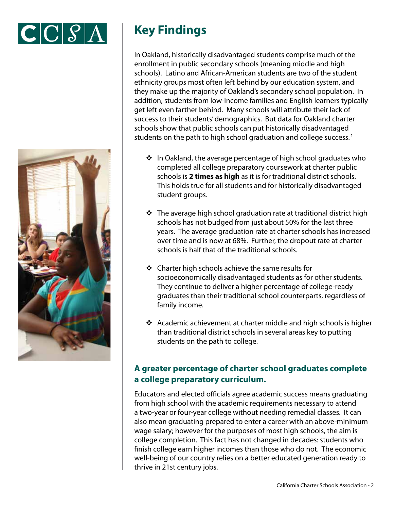



# **Key Findings**

In Oakland, historically disadvantaged students comprise much of the enrollment in public secondary schools (meaning middle and high schools). Latino and African-American students are two of the student ethnicity groups most often left behind by our education system, and they make up the majority of Oakland's secondary school population. In addition, students from low-income families and English learners typically get left even farther behind. Many schools will attribute their lack of success to their students' demographics. But data for Oakland charter schools show that public schools can put historically disadvantaged students on the path to high school graduation and college success.<sup>1</sup>

- $\cdot$  In Oakland, the average percentage of high school graduates who completed all college preparatory coursework at charter public schools is **2 times as high** as it is for traditional district schools. This holds true for all students and for historically disadvantaged student groups.
- $\cdot$  The average high school graduation rate at traditional district high schools has not budged from just about 50% for the last three years. The average graduation rate at charter schools has increased over time and is now at 68%. Further, the dropout rate at charter schools is half that of the traditional schools.
- $\div$  Charter high schools achieve the same results for socioeconomically disadvantaged students as for other students. They continue to deliver a higher percentage of college-ready graduates than their traditional school counterparts, regardless of family income.
- $\cdot$  Academic achievement at charter middle and high schools is higher than traditional district schools in several areas key to putting students on the path to college.

## **A greater percentage of charter school graduates complete a college preparatory curriculum.**

Educators and elected officials agree academic success means graduating from high school with the academic requirements necessary to attend a two-year or four-year college without needing remedial classes. It can also mean graduating prepared to enter a career with an above-minimum wage salary; however for the purposes of most high schools, the aim is college completion. This fact has not changed in decades: students who finish college earn higher incomes than those who do not. The economic well-being of our country relies on a better educated generation ready to thrive in 21st century jobs.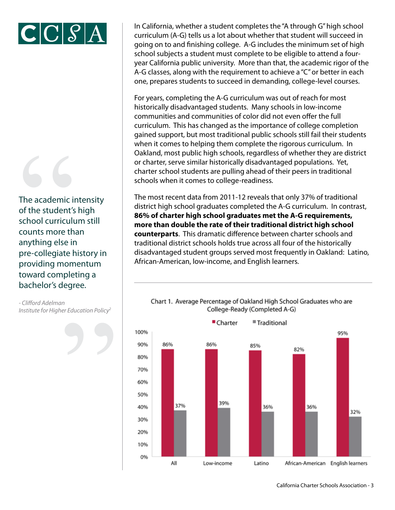

The academic in<br>of the student's<br>school curriculu<br>counts more th<br>anything else ir<br>pre-collegiate h<br>providing mom The academic intensity of the student's high school curriculum still counts more than anything else in pre-collegiate history in providing momentum toward completing a bachelor's degree.

Superior de la Carte de la Carte de la Carte de la Carte de la Carte de la Carte de la Carte de la Carte de la *- Clifford Adelman Institute for Higher Education Policy2*

In California, whether a student completes the "A through G" high school curriculum (A-G) tells us a lot about whether that student will succeed in going on to and finishing college. A-G includes the minimum set of high school subjects a student must complete to be eligible to attend a fouryear California public university. More than that, the academic rigor of the A-G classes, along with the requirement to achieve a "C" or better in each one, prepares students to succeed in demanding, college-level courses.

For years, completing the A-G curriculum was out of reach for most historically disadvantaged students. Many schools in low-income communities and communities of color did not even offer the full curriculum. This has changed as the importance of college completion gained support, but most traditional public schools still fail their students when it comes to helping them complete the rigorous curriculum. In Oakland, most public high schools, regardless of whether they are district or charter, serve similar historically disadvantaged populations. Yet, charter school students are pulling ahead of their peers in traditional schools when it comes to college-readiness.

The most recent data from 2011-12 reveals that only 37% of traditional district high school graduates completed the A-G curriculum. In contrast, **86% of charter high school graduates met the A-G requirements, more than double the rate of their traditional district high school counterparts**. This dramatic difference between charter schools and traditional district schools holds true across all four of the historically disadvantaged student groups served most frequently in Oakland: Latino, African-American, low-income, and English learners.



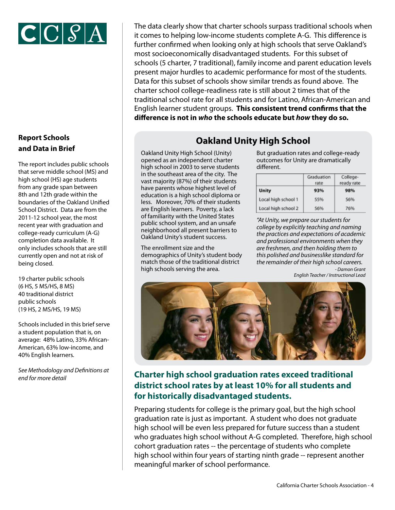

## **Report Schools and Data in Brief**

The report includes public schools that serve middle school (MS) and high school (HS) age students from any grade span between 8th and 12th grade within the boundaries of the Oakland Unified School District. Data are from the 2011-12 school year, the most recent year with graduation and college-ready curriculum (A-G) completion data available. It only includes schools that are still currently open and not at risk of being closed.

19 charter public schools (6 HS, 5 MS/HS, 8 MS) 40 traditional district public schools (19 HS, 2 MS/HS, 19 MS)

Schools included in this brief serve a student population that is, on average: 48% Latino, 33% African-American, 63% low-income, and 40% English learners.

*See Methodology and Definitions at* 

The data clearly show that charter schools surpass traditional schools when it comes to helping low-income students complete A-G. This difference is further confirmed when looking only at high schools that serve Oakland's most socioeconomically disadvantaged students. For this subset of schools (5 charter, 7 traditional), family income and parent education levels present major hurdles to academic performance for most of the students. Data for this subset of schools show similar trends as found above. The charter school college-readiness rate is still about 2 times that of the traditional school rate for all students and for Latino, African-American and English learner student groups. **This consistent trend confirms that the difference is not in** *who* **the schools educate but** *how* **they do so.**

## **Oakland Unity High School**

Oakland Unity High School (Unity) opened as an independent charter high school in 2003 to serve students in the southeast area of the city. The vast majority (87%) of their students have parents whose highest level of education is a high school diploma or less. Moreover, 70% of their students are English learners. Poverty, a lack of familiarity with the United States public school system, and an unsafe neighborhood all present barriers to Oakland Unity's student success.

The enrollment size and the demographics of Unity's student body match those of the traditional district high schools serving the area.

But graduation rates and college-ready outcomes for Unity are dramatically different.

|                     | Graduation<br>rate | College-<br>ready rate |
|---------------------|--------------------|------------------------|
| <b>Unity</b>        | 93%                | 98%                    |
| Local high school 1 | 55%                | 56%                    |
| Local high school 2 | 56%                | 76%                    |

*"At Unity, we prepare our students for college by explicitly teaching and naming the practices and expectations of academic and professional environments when they are freshmen, and then holding them to this polished and businesslike standard for the remainder of their high school careers.*

> *- Damon Grant English Teacher / Instructional Lead*



## *end for more detail* **Charter high school graduation rates exceed traditional district school rates by at least 10% for all students and for historically disadvantaged students.**

Preparing students for college is the primary goal, but the high school graduation rate is just as important. A student who does not graduate high school will be even less prepared for future success than a student who graduates high school without A-G completed. Therefore, high school cohort graduation rates -- the percentage of students who complete high school within four years of starting ninth grade -- represent another meaningful marker of school performance.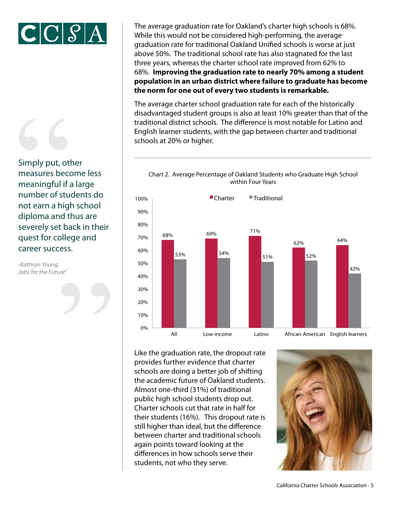



Simply put, other measures become less meaningful if a large number of students do not earn a high school diploma and thus are severely set back in their quest for college and career success. Simply put, otl<br>
measures becomeaningful if a<br>
mumber of stu-<br>
not earn a higl<br>
diploma and tl<br>
severely set ba 100%

 $\overline{1}$ 

10%

20%

30%

40%

50%

60%

70%

80%

90%

*-Kathryn Young Jobs for the Future3* S The average graduation rate for Oakland's charter high schools is 68%. While this would not be considered high-performing, the average graduation rate for traditional Oakland Unified schools is worse at just above 50%. The traditional school rate has also stagnated for the last three years, whereas the charter school rate improved from 62% to 68%. **Improving the graduation rate to nearly 70% among a student population in an urban district where failure to graduate has become the norm for one out of every two students is remarkable.** 

The average charter school graduation rate for each of the historically disadvantaged student groups is also at least 10% greater than that of the traditional district schools. The difference is most notable for Latino and English learner students, with the gap between charter and traditional schools at 20% or higher.





Like the graduation rate, the dropout rate **African-American-American-American-American-American-American-American** provides further evidence that charter **African-American-American-American-American-American-American-American**schools are doing a better job of shifting the academic future of Oakland students. Almost one-third (31%) of traditional public high school students drop out. Charter schools cut that rate in half for their students (16%). This dropout rate is still higher than ideal, but the difference between charter and traditional schools again points toward looking at the differences in how schools serve their students, not who they serve.

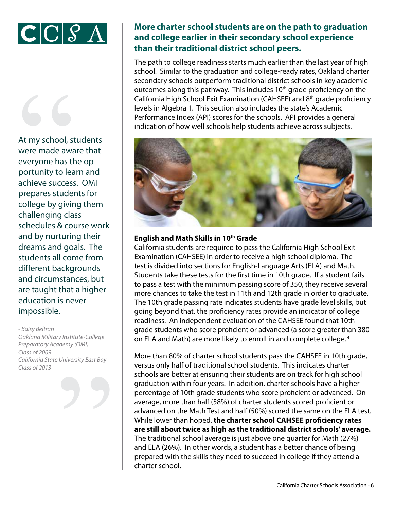



At my school, students were made aware that everyone has the opportunity to learn and achieve success. OMI prepares students for college by giving them challenging class schedules & course work and by nurturing their dreams and goals. The students all come from different backgrounds and circumstances, but are taught that a higher education is never impossible. At my school, st<br>
were made awa<br>
everyone has the<br>
portunity to lea<br>
achieve success<br>
prepares studes<br>
college by givir

*- Baisy Beltran Oakland Military Institute-College Preparatory Academy (OMI) Class of 2009 California State University East Bay Class of 2013* "

## **More charter school students are on the path to graduation and college earlier in their secondary school experience than their traditional district school peers.**

The path to college readiness starts much earlier than the last year of high school. Similar to the graduation and college-ready rates, Oakland charter secondary schools outperform traditional district schools in key academic outcomes along this pathway. This includes  $10<sup>th</sup>$  grade proficiency on the California High School Exit Examination (CAHSEE) and 8th grade proficiency levels in Algebra 1. This section also includes the state's Academic Performance Index (API) scores for the schools. API provides a general indication of how well schools help students achieve across subjects.



### **English and Math Skills in 10th Grade**

California students are required to pass the California High School Exit Examination (CAHSEE) in order to receive a high school diploma. The test is divided into sections for English-Language Arts (ELA) and Math. Students take these tests for the first time in 10th grade. If a student fails to pass a test with the minimum passing score of 350, they receive several more chances to take the test in 11th and 12th grade in order to graduate. The 10th grade passing rate indicates students have grade level skills, but going beyond that, the proficiency rates provide an indicator of college readiness. An independent evaluation of the CAHSEE found that 10th grade students who score proficient or advanced (a score greater than 380 on ELA and Math) are more likely to enroll in and complete college. 4

More than 80% of charter school students pass the CAHSEE in 10th grade, versus only half of traditional school students. This indicates charter schools are better at ensuring their students are on track for high school graduation within four years. In addition, charter schools have a higher percentage of 10th grade students who score proficient or advanced. On average, more than half (58%) of charter students scored proficient or advanced on the Math Test and half (50%) scored the same on the ELA test. While lower than hoped, **the charter school CAHSEE proficiency rates are still about twice as high as the traditional district schools' average.** The traditional school average is just above one quarter for Math (27%) and ELA (26%). In other words, a student has a better chance of being prepared with the skills they need to succeed in college if they attend a charter school.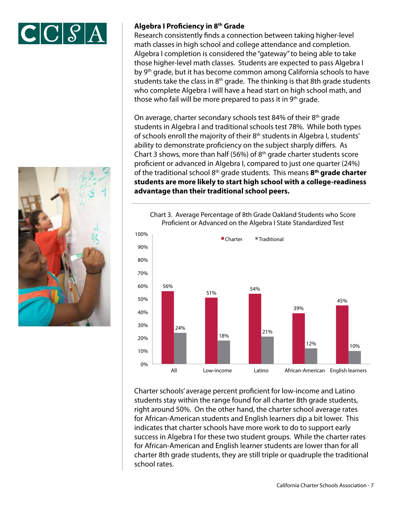



 $\blacksquare$ 

10%

20%

30%

40%

#### **Algebra I Proficiency in 8th Grade**

Research consistently finds a connection between taking higher-level math classes in high school and college attendance and completion. Algebra I completion is considered the "gateway" to being able to take those higher-level math classes. Students are expected to pass Algebra I by 9th grade, but it has become common among California schools to have students take the class in 8<sup>th</sup> grade. The thinking is that 8th grade students who complete Algebra I will have a head start on high school math, and those who fail will be more prepared to pass it in  $9<sup>th</sup>$  grade.

On average, charter secondary schools test 84% of their 8<sup>th</sup> grade students in Algebra I and traditional schools test 78%. While both types of schools enroll the majority of their 8<sup>th</sup> students in Algebra I, students' ability to demonstrate proficiency on the subject sharply differs. As Chart 3 shows, more than half (56%) of  $8<sup>th</sup>$  grade charter students score proficient or advanced in Algebra I, compared to just one quarter (24%) of the traditional school 8th grade students. This means **8th grade charter students are more likely to start high school with a college-readiness advantage than their traditional school peers.** 



Chart 3. Average Percentage of 8th Grade Oakland Students who Score Chart 3. Average Percentage of 8th Grade Oakland Students who Score Proficient or Advanced on the Algebra I State Standardized Test Proficient or Advanced on the Algebra I State Standardized Test

ngin around 50%. On the other hand, the enditer sensor average rates<br>for African-American students and English learners dip a bit lower. This Charter schools' average percent proficient for low-income and Latino students stay within the range found for all charter 8th grade students, right around 50%. On the other hand, the charter school average rates indicates that charter schools have more work to do to support early success in Algebra I for these two student groups. While the charter rates for African-American and English learner students are lower than for all charter 8th grade students, they are still triple or quadruple the traditional school rates.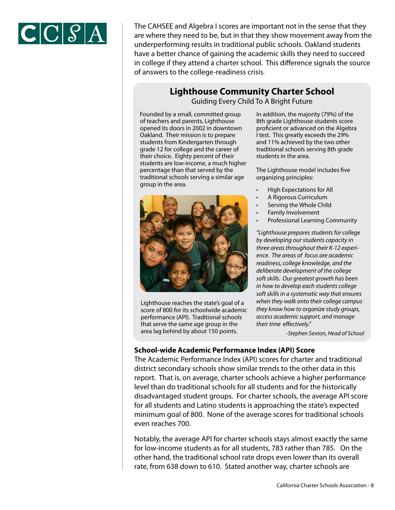

The CAHSEE and Algebra I scores are important not in the sense that they are where they need to be, but in that they show movement away from the underperforming results in traditional public schools. Oakland students have a better chance of gaining the academic skills they need to succeed in college if they attend a charter school. This difference signals the source of answers to the college-readiness crisis.

## **Lighthouse Community Charter School**

Guiding Every Child To A Bright Future

Founded by a small, committed group of teachers and parents, Lighthouse opened its doors in 2002 in downtown Oakland. Their mission is to prepare students from Kindergarten through grade 12 for college and the career of their choice. Eighty percent of their students are low-income, a much higher percentage than that served by the traditional schools serving a similar age group in the area.



Lighthouse reaches the state's goal of a score of 800 for its schoolwide academic performance (API). Traditional schools that serve the same age group in the area lag behind by about 150 points.

In addition, the majority (79%) of the 8th grade Lighthouse students score proficient or advanced on the Algebra I test. This greatly exceeds the 29% and 11% achieved by the two other traditional schools serving 8th grade students in the area.

The Lighthouse model includes five organizing principles:

- High Expectations for All
- A Rigorous Curriculum
- Serving the Whole Child
- Family Involvement
- Professional Learning Community

*"Lighthouse prepares students for college by developing our students capacity in three areas throughout their K-12 experience. The areas of focus are academic readiness, college knowledge, and the deliberate development of the college soft skills. Our greatest growth has been in how to develop each students college soft skills in a systematic way that ensures when they walk onto their college campus they know how to organize study groups, access academic support, and manage their time effectively."*

*-Stephen Sexton, Head of School*

#### **School-wide Academic Performance Index (API) Score**

The Academic Performance Index (API) scores for charter and traditional district secondary schools show similar trends to the other data in this report. That is, on average, charter schools achieve a higher performance level than do traditional schools for all students and for the historically disadvantaged student groups. For charter schools, the average API score for all students and Latino students is approaching the state's expected minimum goal of 800. None of the average scores for traditional schools even reaches 700.

Notably, the average API for charter schools stays almost exactly the same for low-income students as for all students, 783 rather than 785. On the other hand, the traditional school rate drops even lower than its overall rate, from 638 down to 610. Stated another way, charter schools are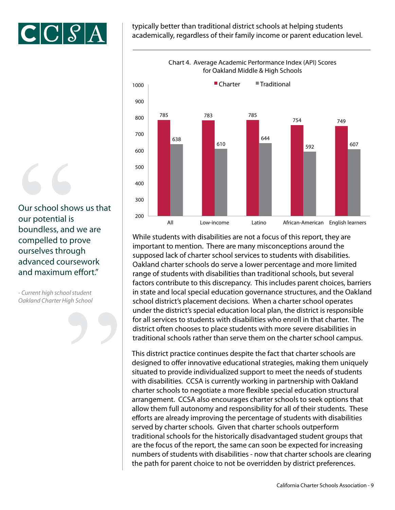

typically better than traditional district schools at helping students academically, regardless of their family income or parent education level.



mportant to mention-american-many indecideptions around the displanary composed lack of charter school services to students with disabilities. While students with disabilities are not a focus of this report, they are important to mention. There are many misconceptions around the Oakland charter schools do serve a lower percentage and more limited range of students with disabilities than traditional schools, but several factors contribute to this discrepancy. This includes parent choices, barriers in state and local special education governance structures, and the Oakland school district's placement decisions. When a charter school operates under the district's special education local plan, the district is responsible for all services to students with disabilities who enroll in that charter. The district often chooses to place students with more severe disabilities in traditional schools rather than serve them on the charter school campus.

This district practice continues despite the fact that charter schools are designed to offer innovative educational strategies, making them uniquely situated to provide individualized support to meet the needs of students with disabilities. CCSA is currently working in partnership with Oakland charter schools to negotiate a more flexible special education structural arrangement. CCSA also encourages charter schools to seek options that allow them full autonomy and responsibility for all of their students. These efforts are already improving the percentage of students with disabilities served by charter schools. Given that charter schools outperform traditional schools for the historically disadvantaged student groups that are the focus of the report, the same can soon be expected for increasing numbers of students with disabilities - now that charter schools are clearing the path for parent choice to not be overridden by district preferences.

Our school show<br>
our potential is<br>
boundless, and<br>
compelled to p<br>
ourselves throu<br>
advanced cours<br>
and maximum Our school shows us that our potential is boundless, and we are compelled to prove ourselves through advanced coursework and maximum effort."

Suppose the contract of the contract of the contract of the contract of the contract of the contract of the contract of the contract of the contract of the contract of the contract of the contract of the contract of the co *- Current high school student Oakland Charter High School*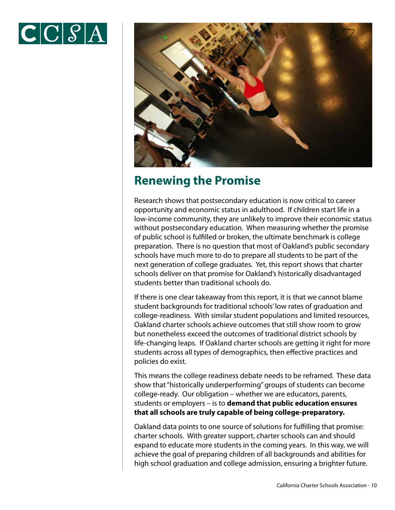



## **Renewing the Promise**

Research shows that postsecondary education is now critical to career opportunity and economic status in adulthood. If children start life in a low-income community, they are unlikely to improve their economic status without postsecondary education. When measuring whether the promise of public school is fulfilled or broken, the ultimate benchmark is college preparation. There is no question that most of Oakland's public secondary schools have much more to do to prepare all students to be part of the next generation of college graduates. Yet, this report shows that charter schools deliver on that promise for Oakland's historically disadvantaged students better than traditional schools do.

If there is one clear takeaway from this report, it is that we cannot blame student backgrounds for traditional schools' low rates of graduation and college-readiness. With similar student populations and limited resources, Oakland charter schools achieve outcomes that still show room to grow but nonetheless exceed the outcomes of traditional district schools by life-changing leaps. If Oakland charter schools are getting it right for more students across all types of demographics, then effective practices and policies do exist.

This means the college readiness debate needs to be reframed. These data show that "historically underperforming" groups of students can become college-ready. Our obligation – whether we are educators, parents, students or employers – is to **demand that public education ensures that all schools are truly capable of being college-preparatory.**

Oakland data points to one source of solutions for fulfilling that promise: charter schools. With greater support, charter schools can and should expand to educate more students in the coming years. In this way, we will achieve the goal of preparing children of all backgrounds and abilities for high school graduation and college admission, ensuring a brighter future.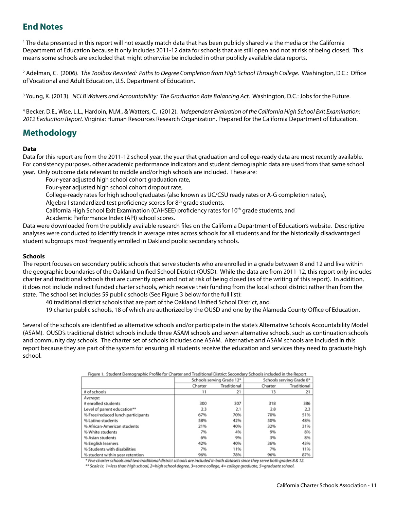## **End Notes**

1 The data presented in this report will not exactly match data that has been publicly shared via the media or the California Department of Education because it only includes 2011-12 data for schools that are still open and not at risk of being closed. This means some schools are excluded that might otherwise be included in other publicly available data reports.

2 Adelman, C. (2006). T*he Toolbox Revisited: Paths to Degree Completion from High School Through College*. Washington, D.C.: Office of Vocational and Adult Education, U.S. Department of Education.

<sup>3</sup> Young, K. (2013). *NCLB Waivers and Accountability: The Graduation Rate Balancing Act*. Washington, D.C.: Jobs for the Future.

4 Becker, D.E., Wise, L.L., Hardoin, M.M., & Watters, C. (2012). *Independent Evaluation of the California High School Exit Examination: 2012 Evaluation Report*. Virginia: Human Resources Research Organization. Prepared for the California Department of Education.

## **Methodology**

#### **Data**

Data for this report are from the 2011-12 school year, the year that graduation and college-ready data are most recently available. For consistency purposes, other academic performance indicators and student demographic data are used from that same school year. Only outcome data relevant to middle and/or high schools are included. These are:

Four-year adjusted high school cohort graduation rate,

Four-year adjusted high school cohort dropout rate,

College-ready rates for high school graduates (also known as UC/CSU ready rates or A-G completion rates),

Algebra I standardized test proficiency scores for  $8<sup>th</sup>$  grade students,

California High School Exit Examination (CAHSEE) proficiency rates for 10th grade students, and

Academic Performance Index (API) school scores.

Data were downloaded from the publicly available research files on the California Department of Education's website. Descriptive analyses were conducted to identify trends in average rates across schools for all students and for the historically disadvantaged student subgroups most frequently enrolled in Oakland public secondary schools.

#### **Schools**

The report focuses on secondary public schools that serve students who are enrolled in a grade between 8 and 12 and live within the geographic boundaries of the Oakland Unified School District (OUSD). While the data are from 2011-12, this report only includes charter and traditional schools that are currently open and not at risk of being closed (as of the writing of this report). In addition, it does not include indirect funded charter schools, which receive their funding from the local school district rather than from the state. The school set includes 59 public schools (See Figure 3 below for the full list):

40 traditional district schools that are part of the Oakland Unified School District, and

19 charter public schools, 18 of which are authorized by the OUSD and one by the Alameda County Office of Education.

Several of the schools are identified as alternative schools and/or participate in the state's Alternative Schools Accountability Model (ASAM). OUSD's traditional district schools include three ASAM schools and seven alternative schools, such as continuation schools and community day schools. The charter set of schools includes one ASAM. Alternative and ASAM schools are included in this report because they are part of the system for ensuring all students receive the education and services they need to graduate high school.

Figure 1. Student Demographic Profile for Charter and Traditional District Secondary Schools included in the Report

|                                   |         | Schools serving Grade 12* |         | Schools serving Grade 8* |  |
|-----------------------------------|---------|---------------------------|---------|--------------------------|--|
|                                   | Charter | Traditional               | Charter | Traditional              |  |
| # of schools                      | 11      | 21                        | 13      | 21                       |  |
| Average:                          |         |                           |         |                          |  |
| # enrolled students               | 300     | 307                       | 318     | 386                      |  |
| Level of parent education**       | 2.3     | 2.1                       | 2.8     | 2.3                      |  |
| % Free/reduced lunch participants | 67%     | 70%                       | 70%     | 51%                      |  |
| % Latino students                 | 58%     | 42%                       | 50%     | 48%                      |  |
| % African-American students       | 21%     | 40%                       | 32%     | 31%                      |  |
| % White students                  | 7%      | 4%                        | 9%      | 8%                       |  |
| % Asian students                  | 6%      | 9%                        | 3%      | 8%                       |  |
| % English learners                | 42%     | 40%                       | 36%     | 43%                      |  |
| % Students with disabilities      | 7%      | 11%                       | 7%      | 11%                      |  |
| % student within year retention   | 96%     | 78%                       | 96%     | 87%                      |  |

\* Five charter schools and two traditional district schools are included in both datasets since they serve both grades 8 & 12.

\*\* Scale is: 1=less than high school, 2=high school degree, 3=some college, 4= college graduate, 5=graduate school.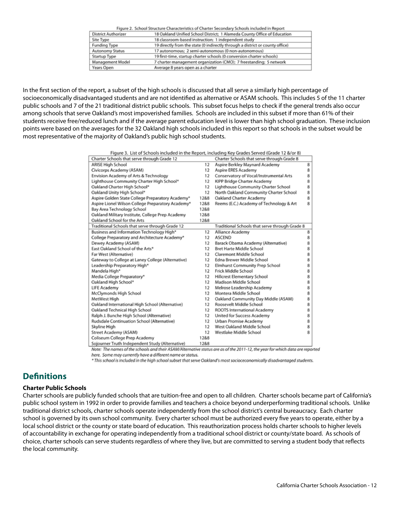|                            | Figure 2. School Structure Characteristics of Charter Secondary Schools included in Report |
|----------------------------|--------------------------------------------------------------------------------------------|
| <b>District Authorizer</b> | 18 Oakland Unified School District; 1 Alameda County Office of Education                   |
| Site Type                  | 18 classroom-based instruction; 1 independent study                                        |
| <b>Funding Type</b>        | 19 directly from the state (0 indirectly through a district or county office)              |
| Autonomy Status            | 17 autonomous; 2 semi-autonomous (0 non-autonomous)                                        |
| Startup Type               | 19 first-time, startup charter schools (0 conversion charter schools)                      |
| Management Model           | 7 charter management organization (CMO); 7 freestanding; 5 network                         |
| Years Open                 | Average 8 years open as a charter                                                          |

In the first section of the report, a subset of the high schools is discussed that all serve a similarly high percentage of socioeconomically disadvantaged students and are not identified as alternative or ASAM schools. This includes 5 of the 11 charter public schools and 7 of the 21 traditional district public schools. This subset focus helps to check if the general trends also occur among schools that serve Oakland's most impoverished families. Schools are included in this subset if more than 61% of their students receive free/reduced lunch and if the average parent education level is lower than high school graduation. These inclusion points were based on the averages for the 32 Oakland high schools included in this report so that schools in the subset would be most representative of the majority of Oakland's public high school students.

| Figure 3. List of Schools included in the Report, including Key Grades Served (Grade 12 &/or 8) |  |
|-------------------------------------------------------------------------------------------------|--|
|                                                                                                 |  |
|                                                                                                 |  |

| Charter Schools that serve through Grade 12       |      | Charter Schools that serve through Grade 8     |   |
|---------------------------------------------------|------|------------------------------------------------|---|
| <b>ARISE High School</b>                          | 12   | Aspire Berkley Maynard Academy                 | 8 |
| Civicorps Academy (ASAM)                          | 12   | Aspire ERES Academy                            | 8 |
| Envision Academy of Arts & Technology             | 12   | Conservatory of Vocal/Instrumental Arts        | 8 |
| Lighthouse Community Charter High School*         | 12   | KIPP Bridge Charter Academy                    | 8 |
| Oakland Charter High School*                      | 12   | Lighthouse Community Charter School            | 8 |
| Oakland Unity High School*                        | 12   | North Oakland Community Charter School         | 8 |
| Aspire Golden State College Preparatory Academy*  | 12&8 | Oakland Charter Academy                        | 8 |
| Aspire Lionel Wilson College Preparatory Academy* | 12&8 | Reems (E.C.) Academy of Technology & Art       | 8 |
| Bay Area Technology School                        | 12&8 |                                                |   |
| Oakland Military Institute, College Prep Academy  | 12&8 |                                                |   |
| Oakland School for the Arts                       | 12&8 |                                                |   |
| Traditional Schools that serve through Grade 12   |      | Traditional Schools that serve through Grade 8 |   |
| Business and Information Technology High*         | 12   | Alliance Academy                               | 8 |
| College Preparatory and Architecture Academy*     | 12   | <b>ASCEND</b>                                  | 8 |
| Dewey Academy (ASAM)                              | 12   | Barack Obama Academy (Alternative)             | 8 |
| East Oakland School of the Arts*                  | 12   | <b>Bret Harte Middle School</b>                | 8 |
| Far West (Alternative)                            | 12   | Claremont Middle School                        | 8 |
| Gateway to College at Laney College (Alternative) | 12   | Edna Brewer Middle School                      | 8 |
| Leadership Preparatory High*                      | 12   | Elmhurst Community Prep School                 | 8 |
| Mandela High*                                     | 12   | Frick Middle School                            | 8 |
| Media College Preparatory*                        | 12   | Hillcrest Elementary School                    | 8 |
| Oakland High School*                              | 12   | Madison Middle School                          | 8 |
| LIFE Academy                                      | 12   | Melrose Leadership Academy                     | 8 |
| McClymonds High School                            | 12   | Montera Middle School                          | 8 |
| MetWest High                                      | 12   | Oakland Community Day Middle (ASAM)            | 8 |
| Oakland International High School (Alternative)   | 12   | Roosevelt Middle School                        | 8 |
| Oakland Technical High School                     | 12   | ROOTS International Academy                    | 8 |
| Ralph J. Bunche High School (Alternative)         | 12   | United for Success Academy                     | 8 |
| Rudsdale Continuation School (Alternative)        | 12   | Urban Promise Academy                          | 8 |
| Skyline High                                      | 12   | West Oakland Middle School                     | 8 |
| Street Academy (ASAM)                             | 12   | Westlake Middle School                         | 8 |
| Coliseum College Prep Academy                     | 12&8 |                                                |   |
| Sojourner Truth Independent Study (Alternative)   | 12&8 |                                                |   |

Note: The names of the schools and their ASAM/Alternative status are as of the 2011-12, the year for which data are reported here. Some may currently have a different name or status.

\* This school is included in the high school subset that serve Oakland's most socioceconomically disadvantaged students.

## **Definitions**

#### **Charter Public Schools**

Charter schools are publicly funded schools that are tuition-free and open to all children. Charter schools became part of California's public school system in 1992 in order to provide families and teachers a choice beyond underperforming traditional schools. Unlike traditional district schools, charter schools operate independently from the school district's central bureaucracy. Each charter school is governed by its own school community. Every charter school must be authorized every five years to operate, either by a local school district or the county or state board of education. This reauthorization process holds charter schools to higher levels of accountability in exchange for operating independently from a traditional school district or county/state board. As schools of choice, charter schools can serve students regardless of where they live, but are committed to serving a student body that reflects the local community.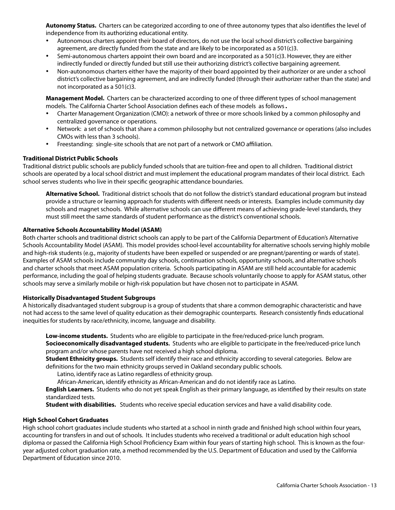**Autonomy Status.** Charters can be categorized according to one of three autonomy types that also identifies the level of independence from its authorizing educational entity.

- Autonomous charters appoint their board of directors, do not use the local school district's collective bargaining agreement, are directly funded from the state and are likely to be incorporated as a 501(c)3.
- Semi-autonomous charters appoint their own board and are incorporated as a 501(c)3. However, they are either indirectly funded or directly funded but still use their authorizing district's collective bargaining agreement.
- Non-autonomous charters either have the majority of their board appointed by their authorizer or are under a school district's collective bargaining agreement, and are indirectly funded (through their authorizer rather than the state) and not incorporated as a 501(c)3.

**Management Model.** Charters can be characterized according to one of three different types of school management models. The California Charter School Association defines each of these models as follows.

- Charter Management Organization (CMO): a network of three or more schools linked by a common philosophy and centralized governance or operations.
- Network: a set of schools that share a common philosophy but not centralized governance or operations (also includes CMOs with less than 3 schools).
- Freestanding: single-site schools that are not part of a network or CMO affiliation.

#### **Traditional District Public Schools**

Traditional district public schools are publicly funded schools that are tuition-free and open to all children. Traditional district schools are operated by a local school district and must implement the educational program mandates of their local district. Each school serves students who live in their specific geographic attendance boundaries.

**Alternative School.** Traditional district schools that do not follow the district's standard educational program but instead provide a structure or learning approach for students with different needs or interests. Examples include community day schools and magnet schools. While alternative schools can use different means of achieving grade-level standards, they must still meet the same standards of student performance as the district's conventional schools.

#### **Alternative Schools Accountability Model (ASAM)**

Both charter schools and traditional district schools can apply to be part of the California Department of Education's Alternative Schools Accountability Model (ASAM). This model provides school-level accountability for alternative schools serving highly mobile and high-risk students (e.g., majority of students have been expelled or suspended or are pregnant/parenting or wards of state). Examples of ASAM schools include community day schools, continuation schools, opportunity schools, and alternative schools and charter schools that meet ASAM population criteria. Schools participating in ASAM are still held accountable for academic performance, including the goal of helping students graduate. Because schools voluntarily choose to apply for ASAM status, other schools may serve a similarly mobile or high-risk population but have chosen not to participate in ASAM.

#### **Historically Disadvantaged Student Subgroups**

A historically disadvantaged student subgroup is a group of students that share a common demographic characteristic and have not had access to the same level of quality education as their demographic counterparts. Research consistently finds educational inequities for students by race/ethnicity, income, language and disability.

**Low-income students.** Students who are eligible to participate in the free/reduced-price lunch program. **Socioeconomically disadvantaged students.** Students who are eligible to participate in the free/reduced-price lunch program and/or whose parents have not received a high school diploma.

**Student Ethnicity groups.** Students self identify their race and ethnicity according to several categories. Below are definitions for the two main ethnicity groups served in Oakland secondary public schools.

Latino, identify race as Latino regardless of ethnicity group.

African-American, identify ethnicity as African-American and do not identify race as Latino.

**English Learners.** Students who do not yet speak English as their primary language, as identified by their results on state standardized tests.

**Student with disabilities.** Students who receive special education services and have a valid disability code.

#### **High School Cohort Graduates**

High school cohort graduates include students who started at a school in ninth grade and finished high school within four years, accounting for transfers in and out of schools. It includes students who received a traditional or adult education high school diploma or passed the California High School Proficiency Exam within four years of starting high school. This is known as the fouryear adjusted cohort graduation rate, a method recommended by the U.S. Department of Education and used by the California Department of Education since 2010.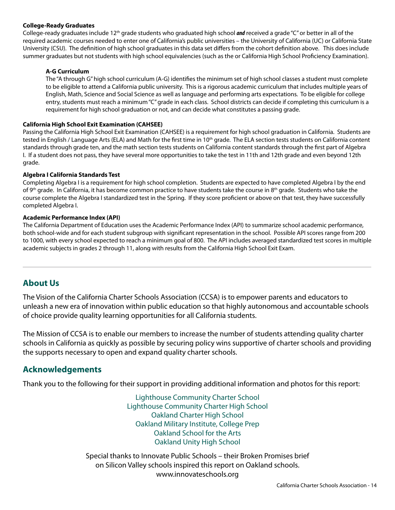#### **College-Ready Graduates**

College-ready graduates include 12th grade students who graduated high school *and* received a grade "C" or better in all of the required academic courses needed to enter one of California's public universities – the University of California (UC) or California State University (CSU). The definition of high school graduates in this data set differs from the cohort definition above. This does include summer graduates but not students with high school equivalencies (such as the or California High School Proficiency Examination).

#### **A-G Curriculum**

The "A through G" high school curriculum (A-G) identifies the minimum set of high school classes a student must complete to be eligible to attend a California public university. This is a rigorous academic curriculum that includes multiple years of English, Math, Science and Social Science as well as language and performing arts expectations. To be eligible for college entry, students must reach a minimum "C" grade in each class. School districts can decide if completing this curriculum is a requirement for high school graduation or not, and can decide what constitutes a passing grade.

#### **California High School Exit Examination (CAHSEE)**

Passing the California High School Exit Examination (CAHSEE) is a requirement for high school graduation in California. Students are tested in English / Language Arts (ELA) and Math for the first time in 10<sup>th</sup> grade. The ELA section tests students on California content standards through grade ten, and the math section tests students on California content standards through the first part of Algebra I. If a student does not pass, they have several more opportunities to take the test in 11th and 12th grade and even beyond 12th grade.

#### **Algebra I California Standards Test**

Completing Algebra I is a requirement for high school completion. Students are expected to have completed Algebra I by the end of 9<sup>th</sup> grade. In California, it has become common practice to have students take the course in 8<sup>th</sup> grade. Students who take the course complete the Algebra I standardized test in the Spring. If they score proficient or above on that test, they have successfully completed Algebra I.

#### **Academic Performance Index (API)**

The California Department of Education uses the Academic Performance Index (API) to summarize school academic performance, both school-wide and for each student subgroup with significant representation in the school. Possible API scores range from 200 to 1000, with every school expected to reach a minimum goal of 800. The API includes averaged standardized test scores in multiple academic subjects in grades 2 through 11, along with results from the California High School Exit Exam.

## **About Us**

The Vision of the California Charter Schools Association (CCSA) is to empower parents and educators to unleash a new era of innovation within public education so that highly autonomous and accountable schools of choice provide quality learning opportunities for all California students.

The Mission of CCSA is to enable our members to increase the number of students attending quality charter schools in California as quickly as possible by securing policy wins supportive of charter schools and providing the supports necessary to open and expand quality charter schools.

#### **Acknowledgements**

Thank you to the following for their support in providing additional information and photos for this report:

Lighthouse Community Charter School Lighthouse Community Charter High School Oakland Charter High School Oakland Military Institute, College Prep Oakland School for the Arts Oakland Unity High School

Special thanks to Innovate Public Schools – their Broken Promises brief on Silicon Valley schools inspired this report on Oakland schools. www.innovateschools.org